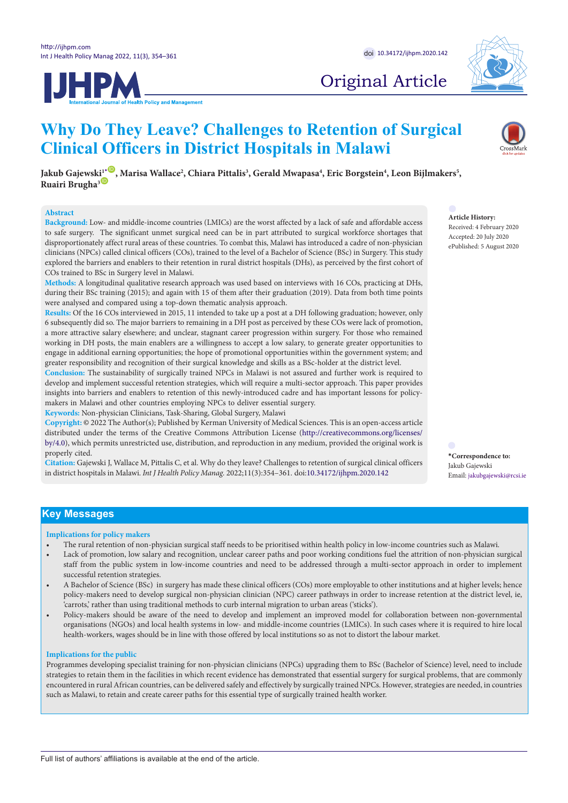



# Original Article

# **Why Do They Leave? Challenges to Retention of Surgical Clinical Officers in District Hospitals in Malawi**

 $J$ akub Gajewski $1^*$  $1^*$  , Marisa Wallace<sup>2</sup>, Chiara Pittalis<sup>3</sup>, Gerald Mwapasa<sup>4</sup>, Eric Borgstein<sup>4</sup>, Leon Bijlmakers<sup>5</sup>, **Ruairi Brugha<sup>3</sub><sup>D</sup>**</sup>

## **Abstract**

**Background:** Low- and middle-income countries (LMICs) are the worst affected by a lack of safe and affordable access to safe surgery. The significant unmet surgical need can be in part attributed to surgical workforce shortages that disproportionately affect rural areas of these countries. To combat this, Malawi has introduced a cadre of non-physician clinicians (NPCs) called clinical officers (COs), trained to the level of a Bachelor of Science (BSc) in Surgery. This study explored the barriers and enablers to their retention in rural district hospitals (DHs), as perceived by the first cohort of COs trained to BSc in Surgery level in Malawi.

**Methods:** A longitudinal qualitative research approach was used based on interviews with 16 COs, practicing at DHs, during their BSc training (2015); and again with 15 of them after their graduation (2019). Data from both time points were analysed and compared using a top-down thematic analysis approach.

**Results:** Of the 16 COs interviewed in 2015, 11 intended to take up a post at a DH following graduation; however, only 6 subsequently did so. The major barriers to remaining in a DH post as perceived by these COs were lack of promotion, a more attractive salary elsewhere; and unclear, stagnant career progression within surgery. For those who remained working in DH posts, the main enablers are a willingness to accept a low salary, to generate greater opportunities to engage in additional earning opportunities; the hope of promotional opportunities within the government system; and greater responsibility and recognition of their surgical knowledge and skills as a BSc-holder at the district level.

**Conclusion:** The sustainability of surgically trained NPCs in Malawi is not assured and further work is required to develop and implement successful retention strategies, which will require a multi-sector approach. This paper provides insights into barriers and enablers to retention of this newly-introduced cadre and has important lessons for policymakers in Malawi and other countries employing NPCs to deliver essential surgery.

**Keywords:** Non-physician Clinicians, Task-Sharing, Global Surgery, Malawi

**Copyright:** © 2022 The Author(s); Published by Kerman University of Medical Sciences. This is an open-access article distributed under the terms of the Creative Commons Attribution License ([http://creativecommons.org/licenses/](http://creativecommons.org/licenses/by/4.0) [by/4.0](http://creativecommons.org/licenses/by/4.0)), which permits unrestricted use, distribution, and reproduction in any medium, provided the original work is properly cited.

**Citation:** Gajewski J, Wallace M, Pittalis C, et al. Why do they leave? Challenges to retention of surgical clinical officers in district hospitals in Malawi. *Int J Health Policy Manag.* 2022;11(3):354–361. doi:[10.34172/ijhpm.2020.142](https://doi.org/10.34172/ijhpm.2020.142)

**Article History:**

Received: 4 February 2020 Accepted: 20 July 2020 ePublished: 5 August 2020

<span id="page-0-0"></span>**\*Correspondence to:** Jakub Gajewski Email: jakubgajewski@rcsi.ie

# **Key Messages**

## **Implications for policy makers**

- The rural retention of non-physician surgical staff needs to be prioritised within health policy in low-income countries such as Malawi.
- Lack of promotion, low salary and recognition, unclear career paths and poor working conditions fuel the attrition of non-physician surgical staff from the public system in low-income countries and need to be addressed through a multi-sector approach in order to implement successful retention strategies.
- A Bachelor of Science (BSc) in surgery has made these clinical officers (COs) more employable to other institutions and at higher levels; hence policy-makers need to develop surgical non-physician clinician (NPC) career pathways in order to increase retention at the district level, ie, 'carrots,' rather than using traditional methods to curb internal migration to urban areas ('sticks').
- Policy-makers should be aware of the need to develop and implement an improved model for collaboration between non-governmental organisations (NGOs) and local health systems in low- and middle-income countries (LMICs). In such cases where it is required to hire local health-workers, wages should be in line with those offered by local institutions so as not to distort the labour market.

## **Implications for the public**

Programmes developing specialist training for non-physician clinicians (NPCs) upgrading them to BSc (Bachelor of Science) level, need to include strategies to retain them in the facilities in which recent evidence has demonstrated that essential surgery for surgical problems, that are commonly encountered in rural African countries, can be delivered safely and effectively by surgically trained NPCs. However, strategies are needed, in countries such as Malawi, to retain and create career paths for this essential type of surgically trained health worker.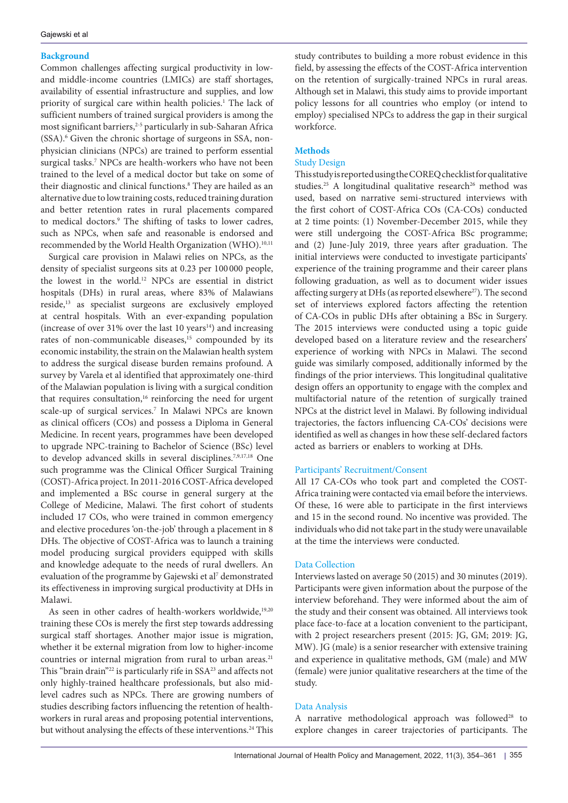# **Background**

Common challenges affecting surgical productivity in lowand middle-income countries (LMICs) are staff shortages, availability of essential infrastructure and supplies, and low priority of surgical care within health policies.<sup>1</sup> The lack of sufficient numbers of trained surgical providers is among the most significant barriers,<sup>2-5</sup> particularly in sub-Saharan Africa (SSA).<sup>6</sup> Given the chronic shortage of surgeons in SSA, nonphysician clinicians (NPCs) are trained to perform essential surgical tasks.<sup>7</sup> NPCs are health-workers who have not been trained to the level of a medical doctor but take on some of their diagnostic and clinical functions.8 They are hailed as an alternative due to low training costs, reduced training duration and better retention rates in rural placements compared to medical doctors.<sup>9</sup> The shifting of tasks to lower cadres, such as NPCs, when safe and reasonable is endorsed and recommended by the World Health Organization (WHO).<sup>10,11</sup>

Surgical care provision in Malawi relies on NPCs, as the density of specialist surgeons sits at 0.23 per 100 000 people, the lowest in the world.12 NPCs are essential in district hospitals (DHs) in rural areas, where 83% of Malawians reside,13 as specialist surgeons are exclusively employed at central hospitals. With an ever-expanding population (increase of over 31% over the last 10 years $14$ ) and increasing rates of non-communicable diseases,<sup>15</sup> compounded by its economic instability, the strain on the Malawian health system to address the surgical disease burden remains profound. A survey by Varela et al identified that approximately one-third of the Malawian population is living with a surgical condition that requires consultation,<sup>16</sup> reinforcing the need for urgent scale-up of surgical services.<sup>7</sup> In Malawi NPCs are known as clinical officers (COs) and possess a Diploma in General Medicine. In recent years, programmes have been developed to upgrade NPC-training to Bachelor of Science (BSc) level to develop advanced skills in several disciplines.<sup>7,9,17,18</sup> One such programme was the Clinical Officer Surgical Training (COST)-Africa project. In 2011-2016 COST-Africa developed and implemented a BSc course in general surgery at the College of Medicine, Malawi. The first cohort of students included 17 COs, who were trained in common emergency and elective procedures 'on-the-job' through a placement in 8 DHs. The objective of COST-Africa was to launch a training model producing surgical providers equipped with skills and knowledge adequate to the needs of rural dwellers. An evaluation of the programme by Gajewski et al<sup>7</sup> demonstrated its effectiveness in improving surgical productivity at DHs in Malawi.

As seen in other cadres of health-workers worldwide,<sup>19,20</sup> training these COs is merely the first step towards addressing surgical staff shortages. Another major issue is migration, whether it be external migration from low to higher-income countries or internal migration from rural to urban areas.<sup>21</sup> This "brain drain"<sup>22</sup> is particularly rife in SSA<sup>23</sup> and affects not only highly-trained healthcare professionals, but also midlevel cadres such as NPCs. There are growing numbers of studies describing factors influencing the retention of healthworkers in rural areas and proposing potential interventions, but without analysing the effects of these interventions.<sup>24</sup> This study contributes to building a more robust evidence in this field, by assessing the effects of the COST-Africa intervention on the retention of surgically-trained NPCs in rural areas. Although set in Malawi, this study aims to provide important policy lessons for all countries who employ (or intend to employ) specialised NPCs to address the gap in their surgical workforce.

# **Methods**

# Study Design

This study is reported using the COREQ checklist for qualitative studies.<sup>25</sup> A longitudinal qualitative research<sup>26</sup> method was used, based on narrative semi-structured interviews with the first cohort of COST-Africa COs (CA-COs) conducted at 2 time points: (1) November-December 2015, while they were still undergoing the COST-Africa BSc programme; and (2) June-July 2019, three years after graduation. The initial interviews were conducted to investigate participants' experience of the training programme and their career plans following graduation, as well as to document wider issues affecting surgery at DHs (as reported elsewhere<sup>27</sup>). The second set of interviews explored factors affecting the retention of CA-COs in public DHs after obtaining a BSc in Surgery. The 2015 interviews were conducted using a topic guide developed based on a literature review and the researchers' experience of working with NPCs in Malawi. The second guide was similarly composed, additionally informed by the findings of the prior interviews. This longitudinal qualitative design offers an opportunity to engage with the complex and multifactorial nature of the retention of surgically trained NPCs at the district level in Malawi. By following individual trajectories, the factors influencing CA-COs' decisions were identified as well as changes in how these self-declared factors acted as barriers or enablers to working at DHs.

# Participants' Recruitment/Consent

All 17 CA-COs who took part and completed the COST-Africa training were contacted via email before the interviews. Of these, 16 were able to participate in the first interviews and 15 in the second round. No incentive was provided. The individuals who did not take part in the study were unavailable at the time the interviews were conducted.

# Data Collection

Interviews lasted on average 50 (2015) and 30 minutes (2019). Participants were given information about the purpose of the interview beforehand. They were informed about the aim of the study and their consent was obtained. All interviews took place face-to-face at a location convenient to the participant, with 2 project researchers present (2015: JG, GM; 2019: JG, MW). JG (male) is a senior researcher with extensive training and experience in qualitative methods, GM (male) and MW (female) were junior qualitative researchers at the time of the study.

# Data Analysis

A narrative methodological approach was followed<sup>28</sup> to explore changes in career trajectories of participants. The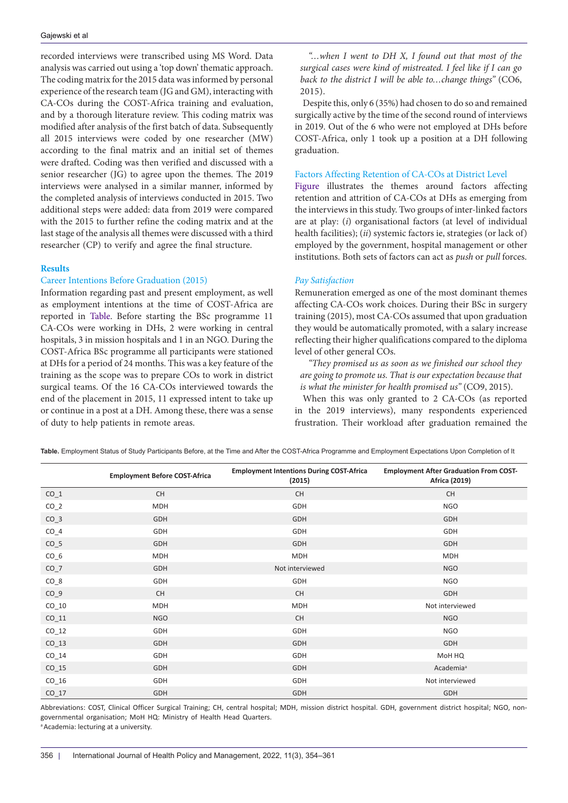recorded interviews were transcribed using MS Word. Data analysis was carried out using a 'top down' thematic approach. The coding matrix for the 2015 data was informed by personal experience of the research team (JG and GM), interacting with CA-COs during the COST-Africa training and evaluation, and by a thorough literature review. This coding matrix was modified after analysis of the first batch of data. Subsequently all 2015 interviews were coded by one researcher (MW) according to the final matrix and an initial set of themes were drafted. Coding was then verified and discussed with a senior researcher (JG) to agree upon the themes. The 2019 interviews were analysed in a similar manner, informed by the completed analysis of interviews conducted in 2015. Two additional steps were added: data from 2019 were compared with the 2015 to further refine the coding matrix and at the last stage of the analysis all themes were discussed with a third researcher (CP) to verify and agree the final structure.

## **Results**

### Career Intentions Before Graduation (2015)

Information regarding past and present employment, as well as employment intentions at the time of COST-Africa are reported in [Table.](#page-2-0) Before starting the BSc programme 11 CA-COs were working in DHs, 2 were working in central hospitals, 3 in mission hospitals and 1 in an NGO. During the COST-Africa BSc programme all participants were stationed at DHs for a period of 24 months. This was a key feature of the training as the scope was to prepare COs to work in district surgical teams. Of the 16 CA-COs interviewed towards the end of the placement in 2015, 11 expressed intent to take up or continue in a post at a DH. Among these, there was a sense of duty to help patients in remote areas.

*"…when I went to DH X, I found out that most of the surgical cases were kind of mistreated. I feel like if I can go back to the district I will be able to…change things"* (CO6, 2015).

Despite this, only 6 (35%) had chosen to do so and remained surgically active by the time of the second round of interviews in 2019. Out of the 6 who were not employed at DHs before COST-Africa, only 1 took up a position at a DH following graduation.

#### Factors Affecting Retention of CA-COs at District Level

[Figure](#page-3-0) illustrates the themes around factors affecting retention and attrition of CA-COs at DHs as emerging from the interviews in this study. Two groups of inter-linked factors are at play: (*i*) organisational factors (at level of individual health facilities); (*ii*) systemic factors ie, strategies (or lack of) employed by the government, hospital management or other institutions. Both sets of factors can act as *push* or *pull* forces.

## *Pay Satisfaction*

Remuneration emerged as one of the most dominant themes affecting CA-COs work choices. During their BSc in surgery training (2015), most CA-COs assumed that upon graduation they would be automatically promoted, with a salary increase reflecting their higher qualifications compared to the diploma level of other general COs.

*"They promised us as soon as we finished our school they are going to promote us. That is our expectation because that is what the minister for health promised us"* (CO9, 2015).

When this was only granted to 2 CA-COs (as reported in the 2019 interviews), many respondents experienced frustration. Their workload after graduation remained the

**Employment Before COST-Africa Employment Intentions During COST-Africa (2015) Employment After Graduation From COST-Africa (2019)** CO\_1 CH CH CH CO\_2 MDH GDH NGO CO\_3 GDH GDH GDH CO\_4 GDH GDH GDH CO\_5 GDH GDH GDH CO\_6 MDH MDH MDH CO\_7 GDH Not interviewed NGO CO\_8 GDH GDH NGO CO\_9 CH CH GDH CO\_10 MDH MDH Not interviewed CO\_11 NGO CH NGO CO\_12 GDH GDH NGO CO\_13 GDH GDH GDH CO\_14 GDH GDH MoH HQ CO\_15 GDH GDH Academia<sup>a</sup> CO\_16 GDH GDH Not interviewed CO\_17 GDH GDH GDH

<span id="page-2-0"></span>**Table.** Employment Status of Study Participants Before, at the Time and After the COST-Africa Programme and Employment Expectations Upon Completion of It

Abbreviations: COST, Clinical Officer Surgical Training; CH, central hospital; MDH, mission district hospital. GDH, government district hospital; NGO, nongovernmental organisation; MoH HQ: Ministry of Health Head Quarters. <sup>a</sup> Academia: lecturing at a university.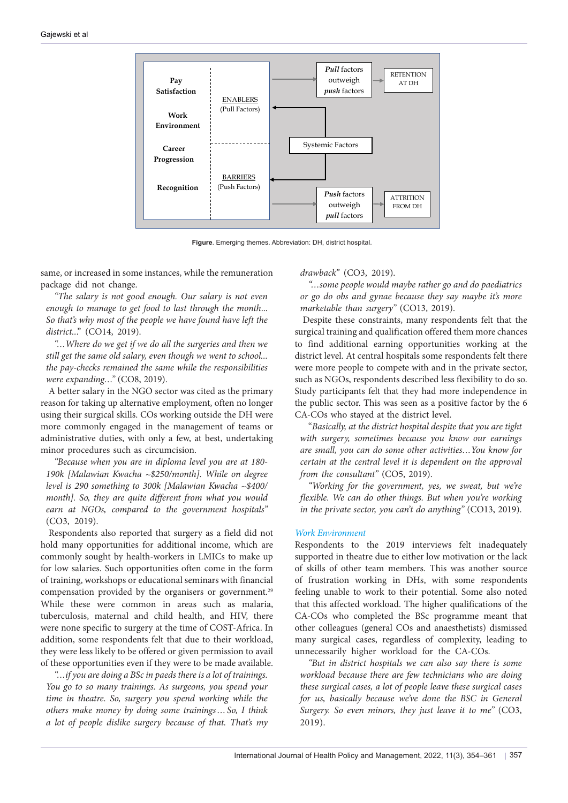<span id="page-3-0"></span>

**Figure**. Emerging themes. Abbreviation: DH, district hospital.

same, or increased in some instances, while the remuneration package did not change.

*"The salary is not good enough. Our salary is not even enough to manage to get food to last through the month*... *So that's why most of the people we have found have left the district..*." (CO14, 2019).

*"…Where do we get if we do all the surgeries and then we still get the same old salary, even though we went to school... the pay-checks remained the same while the responsibilities were expanding…"* (CO8, 2019).

A better salary in the NGO sector was cited as the primary reason for taking up alternative employment, often no longer using their surgical skills. COs working outside the DH were more commonly engaged in the management of teams or administrative duties, with only a few, at best, undertaking minor procedures such as circumcision.

*"Because when you are in diploma level you are at 180- 190k [Malawian Kwacha ~\$250/month]. While on degree level is 290 something to 300k [Malawian Kwacha ~\$400/ month]. So, they are quite different from what you would earn at NGOs, compared to the government hospitals"* (CO3, 2019).

Respondents also reported that surgery as a field did not hold many opportunities for additional income, which are commonly sought by health-workers in LMICs to make up for low salaries. Such opportunities often come in the form of training, workshops or educational seminars with financial compensation provided by the organisers or government.<sup>29</sup> While these were common in areas such as malaria, tuberculosis, maternal and child health, and HIV, there were none specific to surgery at the time of COST-Africa. In addition, some respondents felt that due to their workload, they were less likely to be offered or given permission to avail of these opportunities even if they were to be made available.

*"…if you are doing a BSc in paeds there is a lot of trainings. You go to so many trainings. As surgeons, you spend your time in theatre. So, surgery you spend working while the others make money by doing some trainings…So, I think a lot of people dislike surgery because of that. That's my*  *drawback"* (CO3, 2019).

*"…some people would maybe rather go and do paediatrics or go do obs and gynae because they say maybe it's more marketable than surgery"* (CO13, 2019).

Despite these constraints, many respondents felt that the surgical training and qualification offered them more chances to find additional earning opportunities working at the district level. At central hospitals some respondents felt there were more people to compete with and in the private sector, such as NGOs, respondents described less flexibility to do so. Study participants felt that they had more independence in the public sector. This was seen as a positive factor by the 6 CA-COs who stayed at the district level.

"*Basically, at the district hospital despite that you are tight with surgery, sometimes because you know our earnings are small, you can do some other activities…You know for certain at the central level it is dependent on the approval from the consultant"* (CO5, 2019).

*"Working for the government, yes, we sweat, but we're flexible. We can do other things. But when you're working*  10 *in the private sector, you can't do anything"* (CO13, 2019).

## *Work Environment*

Respondents to the 2019 interviews felt inadequately supported in theatre due to either low motivation or the lack of skills of other team members. This was another source of frustration working in DHs, with some respondents feeling unable to work to their potential. Some also noted that this affected workload. The higher qualifications of the CA-COs who completed the BSc programme meant that other colleagues (general COs and anaesthetists) dismissed many surgical cases, regardless of complexity, leading to unnecessarily higher workload for the CA-COs.

*"But in district hospitals we can also say there is some workload because there are few technicians who are doing these surgical cases, a lot of people leave these surgical cases for us, basically because we've done the BSC in General Surgery. So even minors, they just leave it to me"* (CO3, 2019).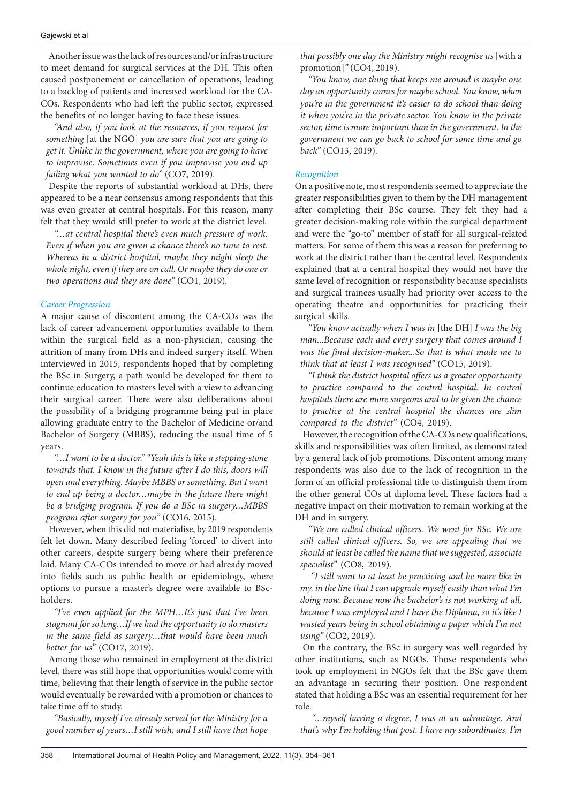Another issue was the lack of resources and/or infrastructure to meet demand for surgical services at the DH. This often caused postponement or cancellation of operations, leading to a backlog of patients and increased workload for the CA-COs. Respondents who had left the public sector, expressed the benefits of no longer having to face these issues.

*"And also, if you look at the resources, if you request for something* [at the NGO] *you are sure that you are going to get it. Unlike in the government, where you are going to have to improvise. Sometimes even if you improvise you end up failing what you wanted to do"* (CO7, 2019).

Despite the reports of substantial workload at DHs, there appeared to be a near consensus among respondents that this was even greater at central hospitals. For this reason, many felt that they would still prefer to work at the district level.

*"…at central hospital there's even much pressure of work. Even if when you are given a chance there's no time to rest. Whereas in a district hospital, maybe they might sleep the whole night, even if they are on call. Or maybe they do one or two operations and they are done"* (CO1, 2019).

## *Career Progression*

A major cause of discontent among the CA-COs was the lack of career advancement opportunities available to them within the surgical field as a non-physician, causing the attrition of many from DHs and indeed surgery itself. When interviewed in 2015, respondents hoped that by completing the BSc in Surgery, a path would be developed for them to continue education to masters level with a view to advancing their surgical career. There were also deliberations about the possibility of a bridging programme being put in place allowing graduate entry to the Bachelor of Medicine or/and Bachelor of Surgery (MBBS), reducing the usual time of 5 years.

*"…I want to be a doctor." "Yeah this is like a stepping-stone towards that. I know in the future after I do this, doors will open and everything. Maybe MBBS or something. But I want to end up being a doctor…maybe in the future there might be a bridging program. If you do a BSc in surgery…MBBS program after surgery for you"* (CO16, 2015).

However, when this did not materialise, by 2019 respondents felt let down. Many described feeling 'forced' to divert into other careers, despite surgery being where their preference laid. Many CA-COs intended to move or had already moved into fields such as public health or epidemiology, where options to pursue a master's degree were available to BScholders.

*"I've even applied for the MPH…It's just that I've been stagnant for so long…If we had the opportunity to do masters in the same field as surgery…that would have been much better for us"* (CO17, 2019).

Among those who remained in employment at the district level, there was still hope that opportunities would come with time, believing that their length of service in the public sector would eventually be rewarded with a promotion or chances to take time off to study.

*"Basically, myself I've already served for the Ministry for a good number of years…I still wish, and I still have that hope* 

*that possibly one day the Ministry might recognise us* [with a promotion]*"* (CO4, 2019).

*"You know, one thing that keeps me around is maybe one day an opportunity comes for maybe school. You know, when you're in the government it's easier to do school than doing it when you're in the private sector. You know in the private sector, time is more important than in the government. In the government we can go back to school for some time and go back"* (CO13, 2019).

## *Recognition*

On a positive note, most respondents seemed to appreciate the greater responsibilities given to them by the DH management after completing their BSc course. They felt they had a greater decision-making role within the surgical department and were the "go-to" member of staff for all surgical-related matters. For some of them this was a reason for preferring to work at the district rather than the central level. Respondents explained that at a central hospital they would not have the same level of recognition or responsibility because specialists and surgical trainees usually had priority over access to the operating theatre and opportunities for practicing their surgical skills.

*"You know actually when I was in* [the DH] *I was the big man...Because each and every surgery that comes around I was the final decision-maker...So that is what made me to think that at least I was recognised"* (CO15, 2019).

*"I think the district hospital offers us a greater opportunity to practice compared to the central hospital. In central hospitals there are more surgeons and to be given the chance to practice at the central hospital the chances are slim compared to the district"* (CO4, 2019).

However, the recognition of the CA-COs new qualifications, skills and responsibilities was often limited, as demonstrated by a general lack of job promotions. Discontent among many respondents was also due to the lack of recognition in the form of an official professional title to distinguish them from the other general COs at diploma level. These factors had a negative impact on their motivation to remain working at the DH and in surgery.

*"We are called clinical officers. We went for BSc. We are still called clinical officers. So, we are appealing that we should at least be called the name that we suggested, associate specialist"* (CO8, 2019).

 *"I still want to at least be practicing and be more like in my, in the line that I can upgrade myself easily than what I'm doing now. Because now the bachelor's is not working at all, because I was employed and I have the Diploma, so it's like I wasted years being in school obtaining a paper which I'm not using"* (CO2, 2019).

On the contrary, the BSc in surgery was well regarded by other institutions, such as NGOs. Those respondents who took up employment in NGOs felt that the BSc gave them an advantage in securing their position. One respondent stated that holding a BSc was an essential requirement for her role.

*"…myself having a degree, I was at an advantage. And that's why I'm holding that post. I have my subordinates, I'm*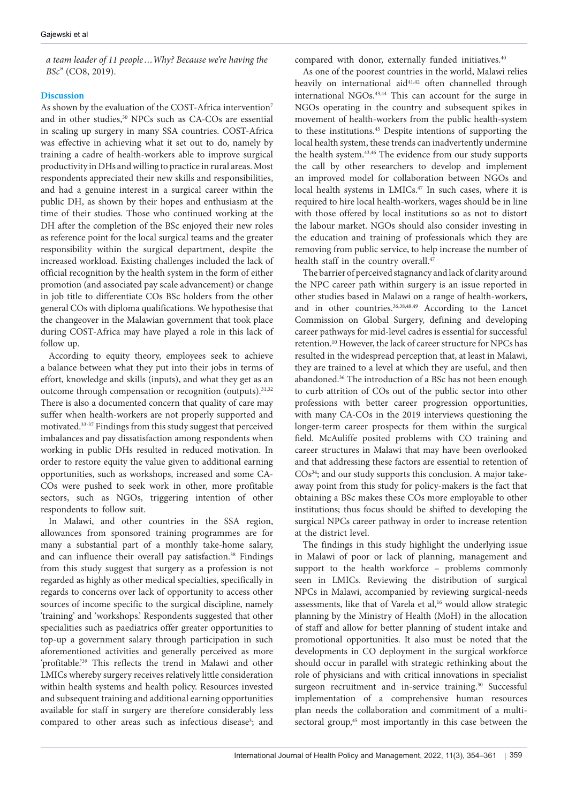*a team leader of 11 people…Why? Because we're having the BSc"* (CO8, 2019).

# **Discussion**

As shown by the evaluation of the COST-Africa intervention<sup>7</sup> and in other studies,<sup>30</sup> NPCs such as CA-COs are essential in scaling up surgery in many SSA countries. COST-Africa was effective in achieving what it set out to do, namely by training a cadre of health-workers able to improve surgical productivity in DHs and willing to practice in rural areas. Most respondents appreciated their new skills and responsibilities, and had a genuine interest in a surgical career within the public DH, as shown by their hopes and enthusiasm at the time of their studies. Those who continued working at the DH after the completion of the BSc enjoyed their new roles as reference point for the local surgical teams and the greater responsibility within the surgical department, despite the increased workload. Existing challenges included the lack of official recognition by the health system in the form of either promotion (and associated pay scale advancement) or change in job title to differentiate COs BSc holders from the other general COs with diploma qualifications. We hypothesise that the changeover in the Malawian government that took place during COST-Africa may have played a role in this lack of follow up.

According to equity theory, employees seek to achieve a balance between what they put into their jobs in terms of effort, knowledge and skills (inputs), and what they get as an outcome through compensation or recognition (outputs).<sup>31,32</sup> There is also a documented concern that quality of care may suffer when health-workers are not properly supported and motivated.33-37 Findings from this study suggest that perceived imbalances and pay dissatisfaction among respondents when working in public DHs resulted in reduced motivation. In order to restore equity the value given to additional earning opportunities, such as workshops, increased and some CA-COs were pushed to seek work in other, more profitable sectors, such as NGOs, triggering intention of other respondents to follow suit.

In Malawi, and other countries in the SSA region, allowances from sponsored training programmes are for many a substantial part of a monthly take-home salary, and can influence their overall pay satisfaction.<sup>38</sup> Findings from this study suggest that surgery as a profession is not regarded as highly as other medical specialties, specifically in regards to concerns over lack of opportunity to access other sources of income specific to the surgical discipline, namely 'training' and 'workshops.' Respondents suggested that other specialities such as paediatrics offer greater opportunities to top-up a government salary through participation in such aforementioned activities and generally perceived as more 'profitable.'39 This reflects the trend in Malawi and other LMICs whereby surgery receives relatively little consideration within health systems and health policy. Resources invested and subsequent training and additional earning opportunities available for staff in surgery are therefore considerably less compared to other areas such as infectious disease<sup>3</sup>; and compared with donor, externally funded initiatives.<sup>40</sup>

As one of the poorest countries in the world, Malawi relies heavily on international aid<sup>41,42</sup> often channelled through international NGOs.43,44 This can account for the surge in NGOs operating in the country and subsequent spikes in movement of health-workers from the public health-system to these institutions.45 Despite intentions of supporting the local health system, these trends can inadvertently undermine the health system.43,46 The evidence from our study supports the call by other researchers to develop and implement an improved model for collaboration between NGOs and local health systems in LMICs.<sup>47</sup> In such cases, where it is required to hire local health-workers, wages should be in line with those offered by local institutions so as not to distort the labour market. NGOs should also consider investing in the education and training of professionals which they are removing from public service, to help increase the number of health staff in the country overall.<sup>47</sup>

The barrier of perceived stagnancy and lack of clarity around the NPC career path within surgery is an issue reported in other studies based in Malawi on a range of health-workers, and in other countries.36,38,48,49 According to the Lancet Commission on Global Surgery, defining and developing career pathways for mid-level cadres is essential for successful retention.10 However, the lack of career structure for NPCs has resulted in the widespread perception that, at least in Malawi, they are trained to a level at which they are useful, and then abandoned.36 The introduction of a BSc has not been enough to curb attrition of COs out of the public sector into other professions with better career progression opportunities, with many CA-COs in the 2019 interviews questioning the longer-term career prospects for them within the surgical field. McAuliffe posited problems with CO training and career structures in Malawi that may have been overlooked and that addressing these factors are essential to retention of COs<sup>34</sup>; and our study supports this conclusion. A major takeaway point from this study for policy-makers is the fact that obtaining a BSc makes these COs more employable to other institutions; thus focus should be shifted to developing the surgical NPCs career pathway in order to increase retention at the district level.

The findings in this study highlight the underlying issue in Malawi of poor or lack of planning, management and support to the health workforce – problems commonly seen in LMICs. Reviewing the distribution of surgical NPCs in Malawi, accompanied by reviewing surgical-needs assessments, like that of Varela et al,<sup>16</sup> would allow strategic planning by the Ministry of Health (MoH) in the allocation of staff and allow for better planning of student intake and promotional opportunities. It also must be noted that the developments in CO deployment in the surgical workforce should occur in parallel with strategic rethinking about the role of physicians and with critical innovations in specialist surgeon recruitment and in-service training.<sup>30</sup> Successful implementation of a comprehensive human resources plan needs the collaboration and commitment of a multisectoral group,<sup>45</sup> most importantly in this case between the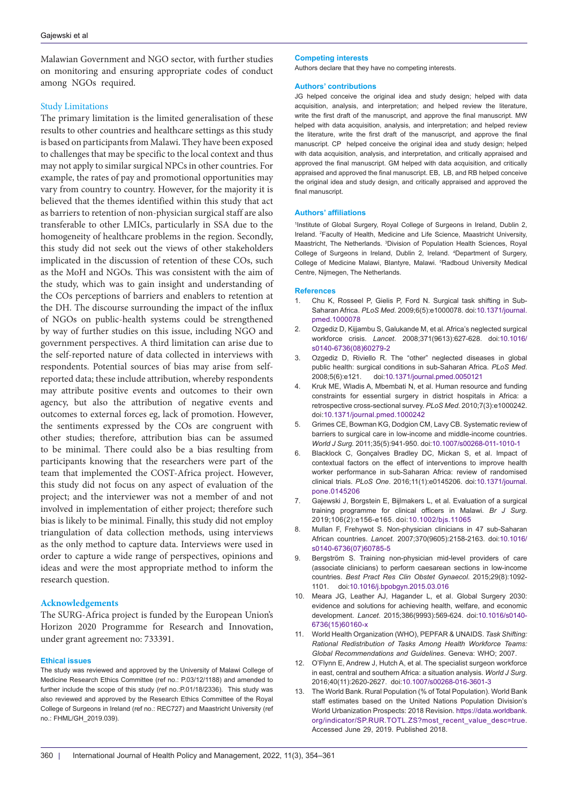Malawian Government and NGO sector, with further studies on monitoring and ensuring appropriate codes of conduct among NGOs required.

## Study Limitations

The primary limitation is the limited generalisation of these results to other countries and healthcare settings as this study is based on participants from Malawi. They have been exposed to challenges that may be specific to the local context and thus may not apply to similar surgical NPCs in other countries. For example, the rates of pay and promotional opportunities may vary from country to country. However, for the majority it is believed that the themes identified within this study that act as barriers to retention of non-physician surgical staff are also transferable to other LMICs, particularly in SSA due to the homogeneity of healthcare problems in the region. Secondly, this study did not seek out the views of other stakeholders implicated in the discussion of retention of these COs, such as the MoH and NGOs. This was consistent with the aim of the study, which was to gain insight and understanding of the COs perceptions of barriers and enablers to retention at the DH. The discourse surrounding the impact of the influx of NGOs on public-health systems could be strengthened by way of further studies on this issue, including NGO and government perspectives. A third limitation can arise due to the self-reported nature of data collected in interviews with respondents. Potential sources of bias may arise from selfreported data; these include attribution, whereby respondents may attribute positive events and outcomes to their own agency, but also the attribution of negative events and outcomes to external forces eg, lack of promotion. However, the sentiments expressed by the COs are congruent with other studies; therefore, attribution bias can be assumed to be minimal. There could also be a bias resulting from participants knowing that the researchers were part of the team that implemented the COST-Africa project. However, this study did not focus on any aspect of evaluation of the project; and the interviewer was not a member of and not involved in implementation of either project; therefore such bias is likely to be minimal. Finally, this study did not employ triangulation of data collection methods, using interviews as the only method to capture data. Interviews were used in order to capture a wide range of perspectives, opinions and ideas and were the most appropriate method to inform the research question.

# **Acknowledgements**

The SURG-Africa project is funded by the European Union's Horizon 2020 Programme for Research and Innovation, under grant agreement no: 733391.

## **Ethical issues**

The study was reviewed and approved by the University of Malawi College of Medicine Research Ethics Committee (ref no.: P.03/12/1188) and amended to further include the scope of this study (ref no.:P.01/18/2336). This study was also reviewed and approved by the Research Ethics Committee of the Royal College of Surgeons in Ireland (ref no.: REC727) and Maastricht University (ref no.: FHML/GH\_2019.039).

#### **Competing interests**

Authors declare that they have no competing interests.

#### **Authors' contributions**

JG helped conceive the original idea and study design; helped with data acquisition, analysis, and interpretation; and helped review the literature, write the first draft of the manuscript, and approve the final manuscript. MW helped with data acquisition, analysis, and interpretation; and helped review the literature, write the first draft of the manuscript, and approve the final manuscript. CP helped conceive the original idea and study design; helped with data acquisition, analysis, and interpretation, and critically appraised and approved the final manuscript. GM helped with data acquisition, and critically appraised and approved the final manuscript. EB, LB, and RB helped conceive the original idea and study design, and critically appraised and approved the final manuscript.

#### **Authors' affiliations**

1 Institute of Global Surgery, Royal College of Surgeons in Ireland, Dublin 2, Ireland. 2 Faculty of Health, Medicine and Life Science, Maastricht University, Maastricht, The Netherlands. <sup>3</sup>Division of Population Health Sciences, Royal College of Surgeons in Ireland, Dublin 2, Ireland. 4 Department of Surgery, College of Medicine Malawi, Blantyre, Malawi. <sup>5</sup>Radboud University Medical Centre, Nijmegen, The Netherlands.

#### **References**

- 1. Chu K, Rosseel P, Gielis P, Ford N. Surgical task shifting in Sub-Saharan Africa. *PLoS Med.* 2009;6(5):e1000078. doi:[10.1371/journal.](https://doi.org/10.1371/journal.pmed.1000078) [pmed.1000078](https://doi.org/10.1371/journal.pmed.1000078)
- 2. Ozgediz D, Kijjambu S, Galukande M, et al. Africa's neglected surgical workforce crisis. *Lancet*. 2008;371(9613):627-628. doi:[10.1016/](https://doi.org/10.1016/s0140-6736(08)60279-2) [s0140-6736\(08\)60279-2](https://doi.org/10.1016/s0140-6736(08)60279-2)
- 3. Ozgediz D, Riviello R. The "other" neglected diseases in global public health: surgical conditions in sub-Saharan Africa. *PLoS Med*. 2008;5(6):e121. doi:[10.1371/journal.pmed.0050121](https://doi.org/10.1371/journal.pmed.0050121)
- 4. Kruk ME, Wladis A, Mbembati N, et al. Human resource and funding constraints for essential surgery in district hospitals in Africa: a retrospective cross-sectional survey. *PLoS Med.* 2010;7(3):e1000242. doi[:10.1371/journal.pmed.1000242](https://doi.org/10.1371/journal.pmed.1000242)
- 5. Grimes CE, Bowman KG, Dodgion CM, Lavy CB. Systematic review of barriers to surgical care in low-income and middle-income countries. *World J Surg.* 2011;35(5):941-950. doi[:10.1007/s00268-011-1010-1](https://doi.org/10.1007/s00268-011-1010-1)
- 6. Blacklock C, Gonçalves Bradley DC, Mickan S, et al. Impact of contextual factors on the effect of interventions to improve health worker performance in sub-Saharan Africa: review of randomised clinical trials. *PLoS One*. 2016;11(1):e0145206. doi:[10.1371/journal.](https://doi.org/10.1371/journal.pone.0145206) [pone.0145206](https://doi.org/10.1371/journal.pone.0145206)
- 7. Gajewski J, Borgstein E, Bijlmakers L, et al. Evaluation of a surgical training programme for clinical officers in Malawi. *Br J Surg*. 2019;106(2):e156-e165. doi:[10.1002/bjs.11065](https://doi.org/10.1002/bjs.11065)
- Mullan F, Frehywot S. Non-physician clinicians in 47 sub-Saharan African countries. *Lancet*. 2007;370(9605):2158-2163. doi:10.1016/ s0140-6736(07)60785-5
- 9. Bergström S. Training non-physician mid-level providers of care (associate clinicians) to perform caesarean sections in low-income countries. *Best Pract Res Clin Obstet Gynaecol*. 2015;29(8):1092- 1101. doi:[10.1016/j.bpobgyn.2015.03.016](https://doi.org/10.1016/j.bpobgyn.2015.03.016)
- 10. Meara JG, Leather AJ, Hagander L, et al. Global Surgery 2030: evidence and solutions for achieving health, welfare, and economic development. *Lancet*. 2015;386(9993):569-624. doi[:10.1016/s0140-](https://doi.org/10.1016/s0140-6736(15)60160-x) [6736\(15\)60160-x](https://doi.org/10.1016/s0140-6736(15)60160-x)
- 11. World Health Organization (WHO), PEPFAR & UNAIDS. *Task Shifting: Rational Redistribution of Tasks Among Health Workforce Teams: Global Recommendations and Guidelines*. Geneva: WHO; 2007.
- 12. O'Flynn E, Andrew J, Hutch A, et al. The specialist surgeon workforce in east, central and southern Africa: a situation analysis. *World J Surg*. 2016;40(11):2620-2627. doi:[10.1007/s00268-016-3601-3](https://doi.org/10.1007/s00268-016-3601-3)
- 13. The World Bank. Rural Population (% of Total Population). World Bank staff estimates based on the United Nations Population Division's World Urbanization Prospects: 2018 Revision. [https://data.worldbank.](https://data.worldbank.org/indicator/SP.RUR.TOTL.ZS?most_recent_value_desc=true) [org/indicator/SP.RUR.TOTL.ZS?most\\_recent\\_value\\_desc=true.](https://data.worldbank.org/indicator/SP.RUR.TOTL.ZS?most_recent_value_desc=true) Accessed June 29, 2019. Published 2018.